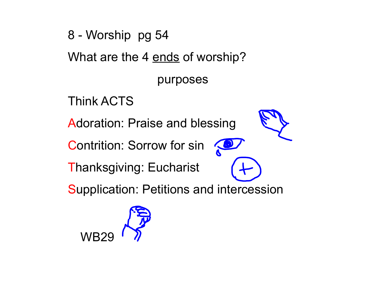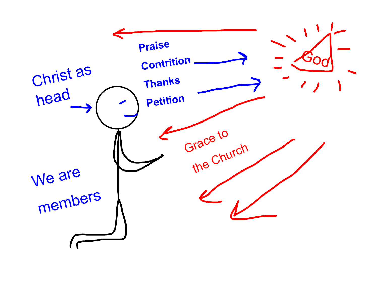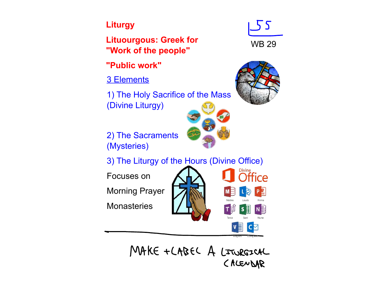#### **Liturgy**

**Lituourgous: Greek for "Work of the people"**

**"Public work"** 

3 Elements

1) The Holy Sacrifice of the Mass (Divine Liturgy)

2) The Sacraments (Mysteries)

3) The Liturgy of the Hours (Divine Office)

Focuses on

Morning Prayer

**Monasteries** 



MAKE + LABEL A LITURGICAL CALENDAR



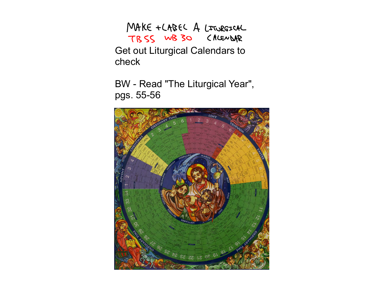MAKE + LABEL A LITURGICAL TBSS WB30 CALENDAR Get out Liturgical Calendars to check

BW - Read "The Liturgical Year", pgs. 55-56

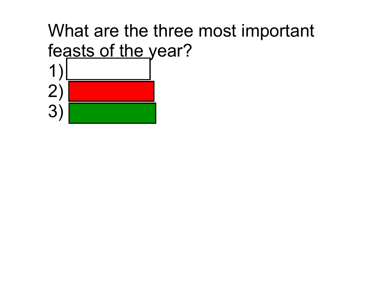#### What are the three most important feasts of the year? 1) 2) 3) CHRISTMAS CHRISTMAS PENTECOST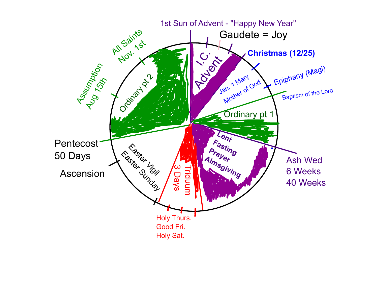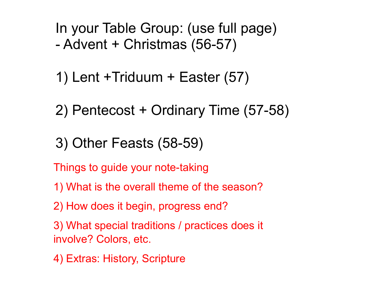In your Table Group: (use full page) - Advent + Christmas (56-57)

1) Lent +Triduum + Easter (57)

2) Pentecost + Ordinary Time (57-58)

3) Other Feasts (58-59)

Things to guide your note-taking

- 1) What is the overall theme of the season?
- 2) How does it begin, progress end?
- 3) What special traditions / practices does it involve? Colors, etc.
- 4) Extras: History, Scripture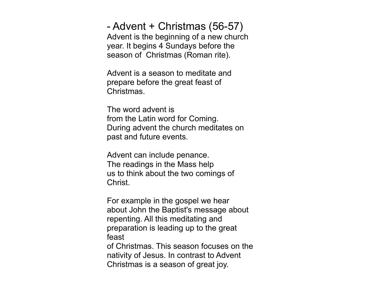- Advent + Christmas (56-57) Advent is the beginning of a new church year. It begins 4 Sundays before the season of Christmas (Roman rite).

Advent is a season to meditate and prepare before the great feast of Christmas.

The word advent is from the Latin word for Coming. During advent the church meditates on past and future events.

Advent can include penance. The readings in the Mass help us to think about the two comings of Christ.

For example in the gospel we hear about John the Baptist's message about repenting. All this meditating and preparation is leading up to the great feast

of Christmas. This season focuses on the nativity of Jesus. In contrast to Advent Christmas is a season of great joy.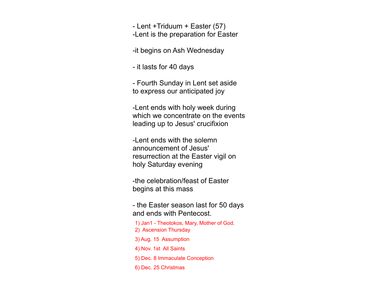- Lent +Triduum + Easter (57)

-Lent is the preparation for Easter

-it begins on Ash Wednesday

- it lasts for 40 days

- Fourth Sunday in Lent set aside to express our anticipated joy

-Lent ends with holy week during which we concentrate on the events leading up to Jesus' crucifixion

-Lent ends with the solemn announcement of Jesus' resurrection at the Easter vigil on holy Saturday evening

-the celebration/feast of Easter begins at this mass

- the Easter season last for 50 days and ends with Pentecost.

- 1) Jan1 Theotokos, Mary, Mother of God. 2) Ascension Thursday
- 3) Aug. 15 Assumption
- 4) Nov. 1st All Saints
- 5) Dec. 8 Immaculate Conception
- 6) Dec. 25 Christmas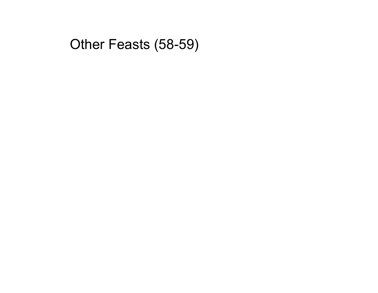#### Other Feasts (58-59)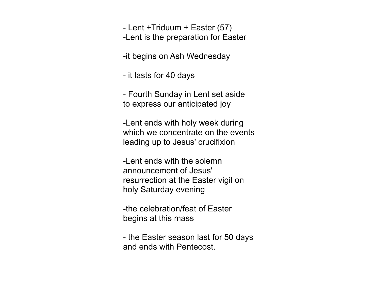- Lent +Triduum + Easter (57) -Lent is the preparation for Easter

-it begins on Ash Wednesday

- it lasts for 40 days

- Fourth Sunday in Lent set aside to express our anticipated joy

-Lent ends with holy week during which we concentrate on the events leading up to Jesus' crucifixion

-Lent ends with the solemn announcement of Jesus' resurrection at the Easter vigil on holy Saturday evening

-the celebration/feat of Easter begins at this mass

- the Easter season last for 50 days and ends with Pentecost.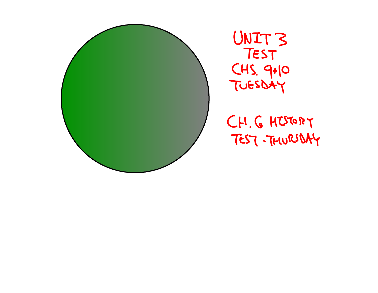

CH. G HISTORY TEST-THURIDAY

UNIT3<br>TEST CHS. 9+10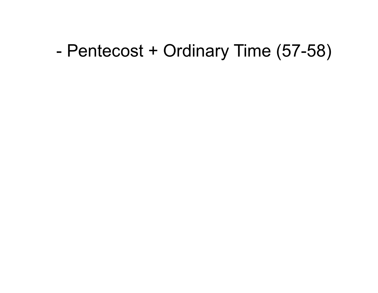## - Pentecost + Ordinary Time (57-58)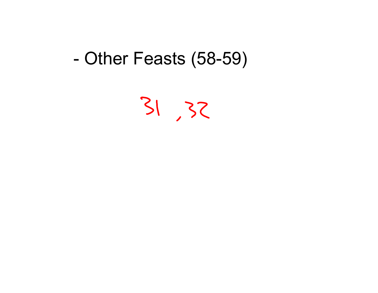## - Other Feasts (58-59)